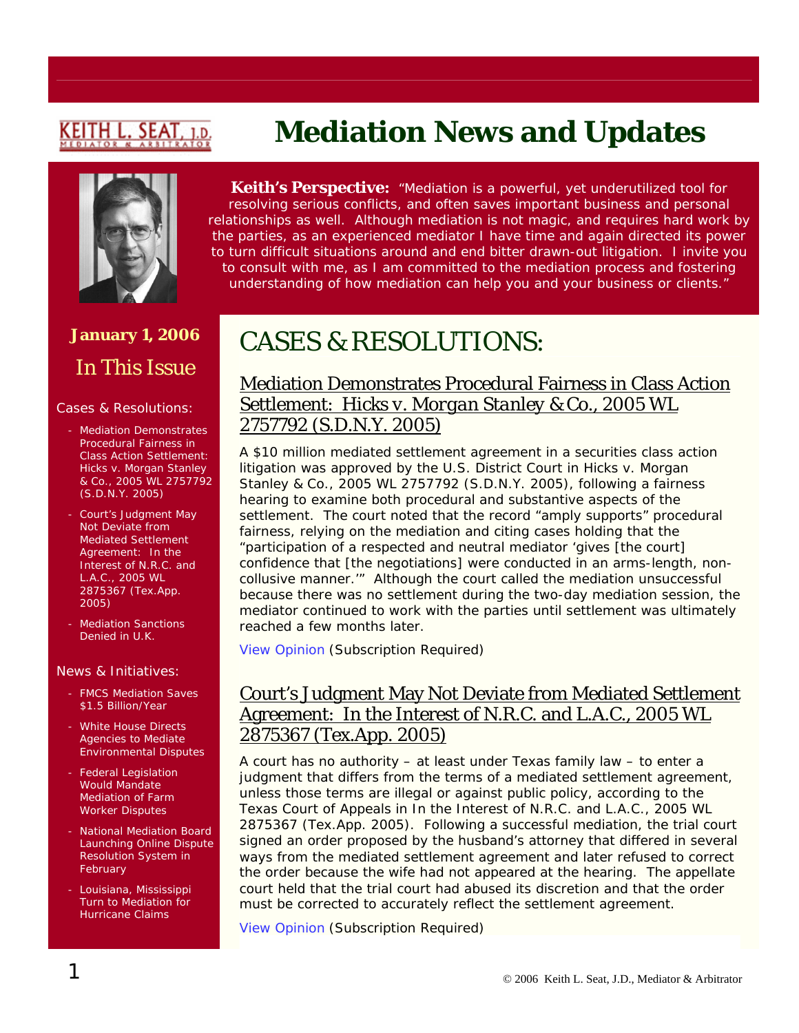# <u>CEITH L. SEAT</u>

# **Mediation News and Updates**



## **January 1, 2006**  In This Issue

#### Cases & Resolutions:

- Mediation Demonstrates Procedural Fairness in Class Action Settlement: *Hicks v. Morgan Stanley & Co.*, 2005 WL 2757792 (S.D.N.Y. 2005)
- Court's Judgment May Not Deviate from Mediated Settlement Agreement: *In the Interest of N.R.C. and L.A.C.*, 2005 WL 2875367 (Tex.App. 2005)
- Mediation Sanctions Denied in U.K.

#### News & Initiatives:

- FMCS Mediation Saves \$1.5 Billion/Year
- White House Directs Agencies to Mediate Environmental Disputes
- Federal Legislation Would Mandate Mediation of Farm Worker Disputes
- National Mediation Board Launching Online Dispute Resolution System in **February**
- Louisiana, Mississippi Turn to Mediation for Hurricane Claims

**Keith's Perspective:** *"Mediation is a powerful, yet underutilized tool for resolving serious conflicts, and often saves important business and personal relationships as well. Although mediation is not magic, and requires hard work by the parties, as an experienced mediator I have time and again directed its power to turn difficult situations around and end bitter drawn-out litigation. I invite you to consult with me, as I am committed to the mediation process and fostering understanding of how mediation can help you and your business or clients."*

## CASES & RESOLUTIONS:

#### Mediation Demonstrates Procedural Fairness in Class Action Settlement: *Hicks v. Morgan Stanley & Co.*, 2005 WL 2757792 (S.D.N.Y. 2005)

A \$10 million mediated settlement agreement in a securities class action litigation was approved by the U.S. District Court in *Hicks v. Morgan Stanley & Co.*, 2005 WL 2757792 (S.D.N.Y. 2005), following a fairness hearing to examine both procedural and substantive aspects of the settlement. The court noted that the record "amply supports" procedural fairness, relying on the mediation and citing cases holding that the "participation of a respected and neutral mediator 'gives [the court] confidence that [the negotiations] were conducted in an arms-length, noncollusive manner.'" Although the court called the mediation unsuccessful because there was no settlement during the two-day mediation session, the mediator continued to work with the parties until settlement was ultimately reached a few months later.

[View Opinion](http://web2.westlaw.com/find/default.wl?mt=LawSchoolPractitioner&fn=_top&sv=Split&cite=2005+WL+2757792&rp=%2ffind%2fdefault.wl&vr=2.0&rs=WLW5.12) (Subscription Required)

### Court's Judgment May Not Deviate from Mediated Settlement Agreement: In the Interest of N.R.C. and L.A.C., 2005 WL 2875367 (Tex.App. 2005)

A court has no authority – at least under Texas family law – to enter a judgment that differs from the terms of a mediated settlement agreement, unless those terms are illegal or against public policy, according to the Texas Court of Appeals in *In the Interest of N.R.C. and L.A.C.*, 2005 WL 2875367 (Tex.App. 2005). Following a successful mediation, the trial court signed an order proposed by the husband's attorney that differed in several ways from the mediated settlement agreement and later refused to correct the order because the wife had not appeared at the hearing. The appellate court held that the trial court had abused its discretion and that the order must be corrected to accurately reflect the settlement agreement.

[View Opinion](http://web2.westlaw.com/Find/default.wl?findcite=2005+WL+2875367&TF=%7B27AE66B7-4EEF-11D5-A99D-000102463493%7D&RS=WLW5.12&VR=2.0&SV=Split&FN=_top&MT=LawSchoolPractitioner&RP=%2FWelcome%2FLawSchoolPractitioner%2Fdefault.wl&TC=%7B7340A334-4EEC-11D5-A99D-0001) (Subscription Required)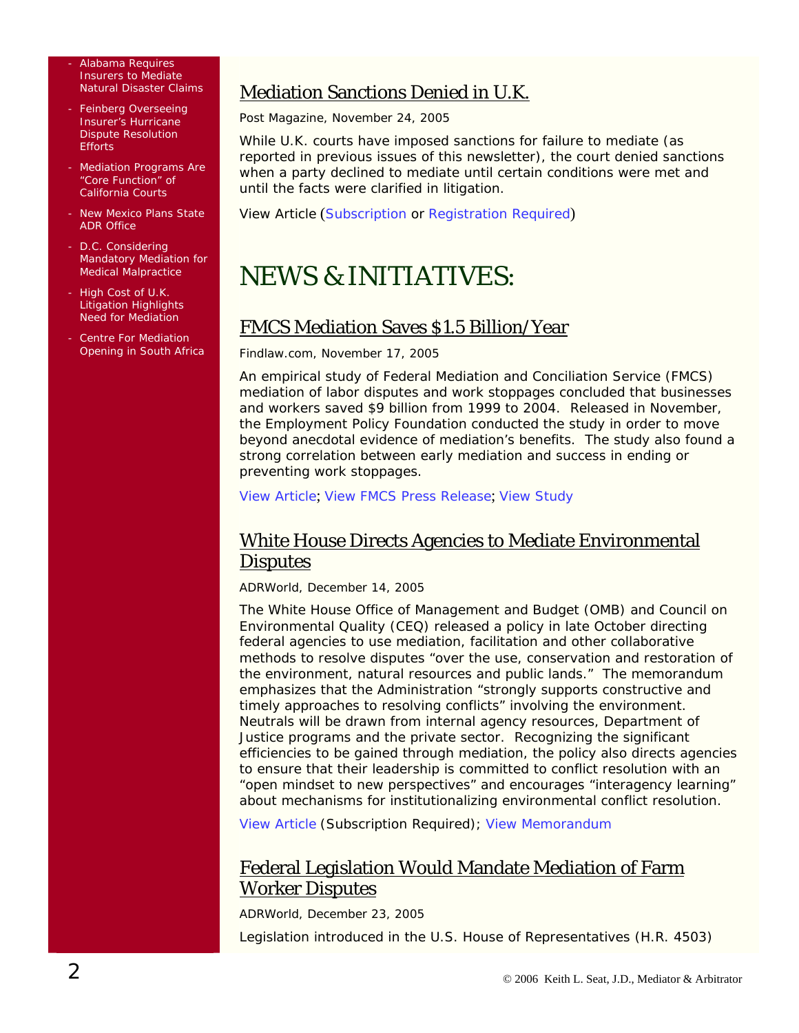Alabama Requires Insurers to Mediate Natural Disaster Claims

- Feinberg Overseeing Insurer's Hurricane Dispute Resolution **Efforts**
- Mediation Programs Are "Core Function" of California Courts
- New Mexico Plans State ADR Office
- D.C. Considering Mandatory Mediation for Medical Malpractice
- High Cost of U.K. Litigation Highlights Need for Mediation
- Centre For Mediation Opening in South Africa

## Mediation Sanctions Denied in U.K.

*Post Magazine*, November 24, 2005

While U.K. courts have imposed sanctions for failure to mediate (as reported in previous issues of this newsletter), the court denied sanctions when a party declined to mediate until certain conditions were met and until the facts were clarified in litigation.

View Article ([Subscription](http://web2.westlaw.com/find/default.wl?mt=LawSchoolPractitioner&fn=_top&sv=Split&cite=2005+WLNR+18928375&rp=%2ffind%2fdefault.wl&vr=2.0&rs=WLW5.12) or [Registration Required](http://www.postmagazine.co.uk/public/showPage.html?validate=0&page=post_login2&url=%2Fpublic%2FshowPage.html%3Fpage%3D305944))

# NEWS & INITIATIVES:

### FMCS Mediation Saves \$1.5 Billion/Year

#### *Findlaw.com*, November 17, 2005

An empirical study of Federal Mediation and Conciliation Service (FMCS) mediation of labor disputes and work stoppages concluded that businesses and workers saved \$9 billion from 1999 to 2004. Released in November, the Employment Policy Foundation conducted the study in order to move beyond anecdotal evidence of mediation's benefits. The study also found a strong correlation between early mediation and success in ending or preventing work stoppages.

[View Article](http://news.findlaw.com/prnewswire/20051117/17nov20050851.html); [View FMCS Press Release](http://www.fmcs.gov/internet/itemDetail.asp?categoryID=39&itemID=19768); [View Study](http://fmcs.gov/assets/files/Public Affairs/2005 Documents/FMCS_Activities_-Main-_Final_color.pdf)

#### White House Directs Agencies to Mediate Environmental **Disputes**

*ADRWorld*, December 14, 2005

The White House Office of Management and Budget (OMB) and Council on Environmental Quality (CEQ) released a policy in late October directing federal agencies to use mediation, facilitation and other collaborative methods to resolve disputes "over the use, conservation and restoration of the environment, natural resources and public lands." The memorandum emphasizes that the Administration "strongly supports constructive and timely approaches to resolving conflicts" involving the environment. Neutrals will be drawn from internal agency resources, Department of Justice programs and the private sector. Recognizing the significant efficiencies to be gained through mediation, the policy also directs agencies to ensure that their leadership is committed to conflict resolution with an "open mindset to new perspectives" and encourages "interagency learning" about mechanisms for institutionalizing environmental conflict resolution.

[View Article](http://www.adrworld.com/sp.asp?id=39267) (Subscription Required); [View Memorandum](http://www.ecr.gov/pdf/OMB_CEQ_Joint_Statement.pdf)

### Federal Legislation Would Mandate Mediation of Farm Worker Disputes

*ADRWorld*, December 23, 2005

Legislation introduced in the U.S. House of Representatives (H.R. 4503)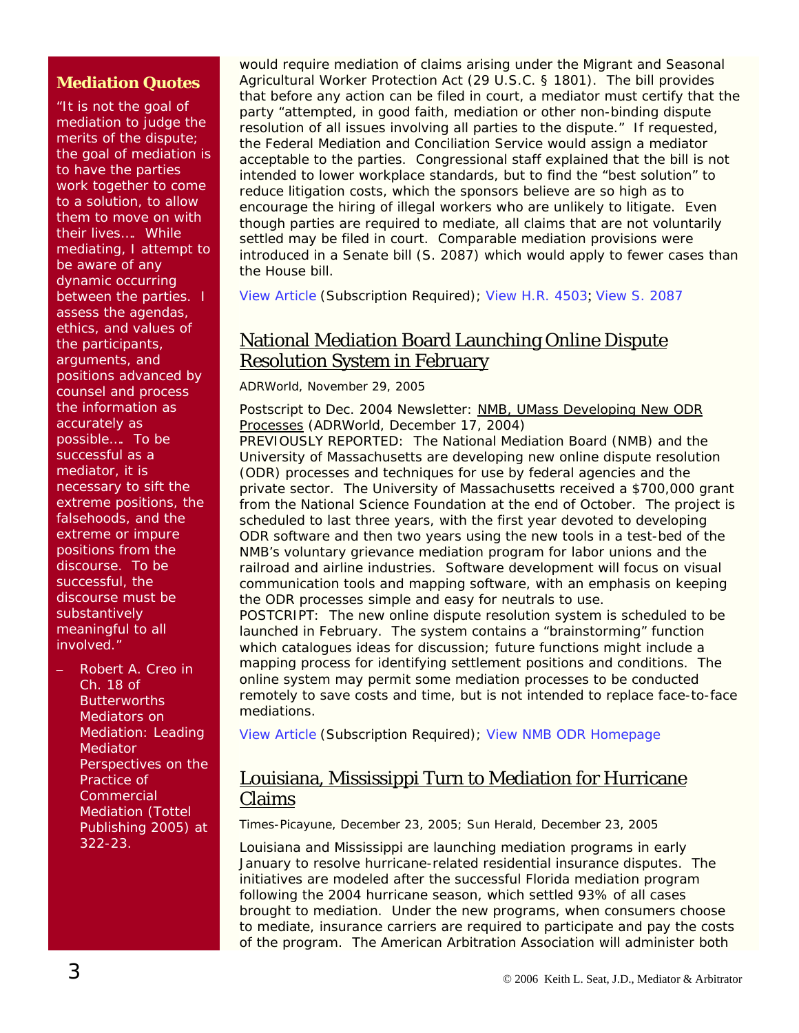#### **Mediation Quotes**

"It is not the goal of mediation to judge the merits of the dispute; the goal of mediation is to have the parties work together to come to a solution, to allow them to move on with their lives…. While mediating, I attempt to be aware of any dynamic occurring between the parties. I assess the agendas, ethics, and values of the participants, arguments, and positions advanced by counsel and process the information as accurately as possible…. To be successful as a mediator, it is necessary to sift the extreme positions, the falsehoods, and the extreme or impure positions from the discourse. To be successful, the discourse must be substantively meaningful to all involved."

– Robert A. Creo in Ch. 18 of *Butterworths Mediators on Mediation: Leading Mediator Perspectives on the Practice of Commercial Mediation* (Tottel Publishing 2005) at 322-23.

would require mediation of claims arising under the Migrant and Seasonal Agricultural Worker Protection Act (29 U.S.C. § 1801). The bill provides that before any action can be filed in court, a mediator must certify that the party "attempted, in good faith, mediation or other non-binding dispute resolution of all issues involving all parties to the dispute." If requested, the Federal Mediation and Conciliation Service would assign a mediator acceptable to the parties. Congressional staff explained that the bill is not intended to lower workplace standards, but to find the "best solution" to reduce litigation costs, which the sponsors believe are so high as to encourage the hiring of illegal workers who are unlikely to litigate. Even though parties are required to mediate, all claims that are not voluntarily settled may be filed in court. Comparable mediation provisions were introduced in a Senate bill (S. 2087) which would apply to fewer cases than the House bill.

[View Article](http://www.adrworld.com/sp.asp?id=39308) (Subscription Required); [View H.R. 4503](http://thomas.loc.gov/cgi-bin/query/z?c109:H.R.4503.IH:); [View S. 2087](http://thomas.loc.gov/cgi-bin/query/z?c109:S.2087.IS:)

### National Mediation Board Launching Online Dispute Resolution System in February

*ADRWorld,* November 29, 2005

*Postscript to Dec. 2004 Newsletter:* [NMB, UMass Developing New ODR](http://www.adrworld.com/opendocument.asp?Doc=tJt5KMbYRQ)  [Processes](http://www.adrworld.com/opendocument.asp?Doc=tJt5KMbYRQ) (*ADRWorld*, December 17, 2004)

PREVIOUSLY REPORTED: The National Mediation Board (NMB) and the University of Massachusetts are developing new online dispute resolution (ODR) processes and techniques for use by federal agencies and the private sector. The University of Massachusetts received a \$700,000 grant from the National Science Foundation at the end of October. The project is scheduled to last three years, with the first year devoted to developing ODR software and then two years using the new tools in a test-bed of the NMB's voluntary grievance mediation program for labor unions and the railroad and airline industries. Software development will focus on visual communication tools and mapping software, with an emphasis on keeping the ODR processes simple and easy for neutrals to use.

POSTCRIPT: The new online dispute resolution system is scheduled to be launched in February. The system contains a "brainstorming" function which catalogues ideas for discussion; future functions might include a mapping process for identifying settlement positions and conditions. The online system may permit some mediation processes to be conducted remotely to save costs and time, but is not intended to replace face-to-face mediations.

[View Article](http://www.adrworld.com/sp.asp?id=39182) (Subscription Required); [View NMB ODR Homepage](http://www.nmb.gov/adrservices/odr.html)

#### Louisiana, Mississippi Turn to Mediation for Hurricane Claims

*Times-Picayune*, December 23, 2005; *Sun Herald*, December 23, 2005

Louisiana and Mississippi are launching mediation programs in early January to resolve hurricane-related residential insurance disputes. The initiatives are modeled after the successful Florida mediation program following the 2004 hurricane season, which settled 93% of all cases brought to mediation. Under the new programs, when consumers choose to mediate, insurance carriers are required to participate and pay the costs of the program. The American Arbitration Association will administer both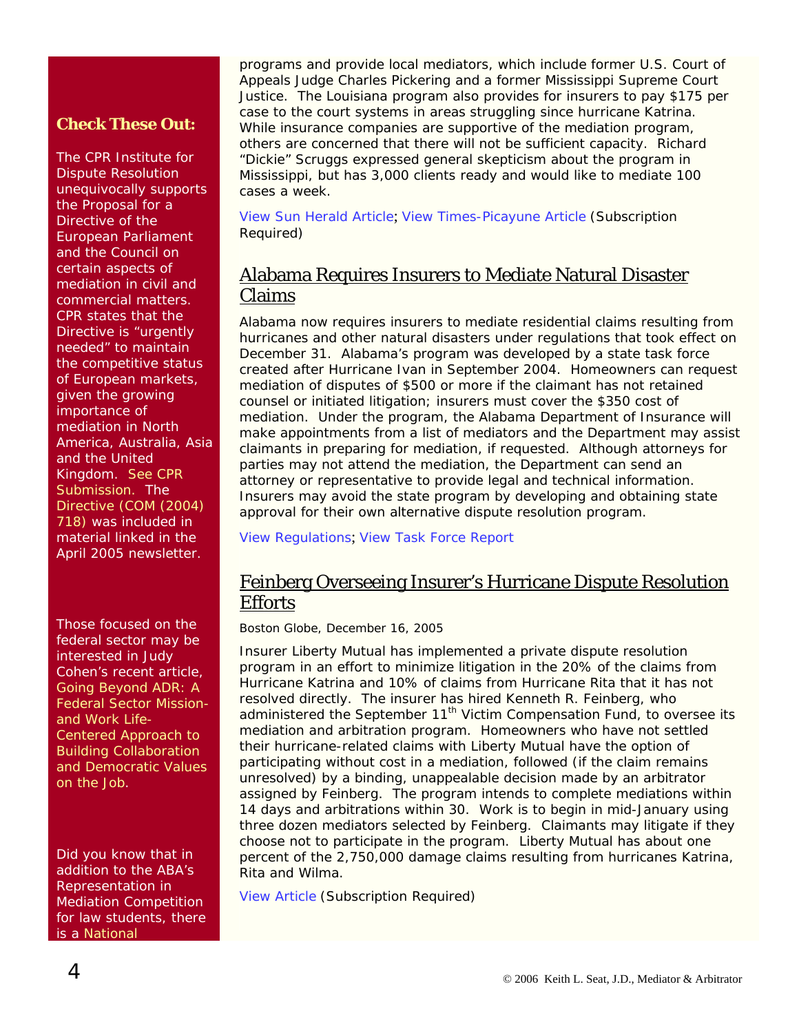#### **Check These Out:**

The CPR Institute for Dispute Resolution unequivocally supports the Proposal for a Directive of the European Parliament and the Council on certain aspects of mediation in civil and commercial matters. CPR states that the Directive is "urgently needed" to maintain the competitive status of European markets, given the growing importance of mediation in North America, Australia, Asia and the United Kingdom. *[See CPR](http://www.cpradr.org/EICPR/EUParliamentQuestionnaireResponse.pdf)  [Submission.](http://www.cpradr.org/EICPR/EUParliamentQuestionnaireResponse.pdf)* The *[Directive \(COM \(2004\)](http://europa.eu.int/eur-lex/lex/LexUriServ/site/en/com/2004/com2004_0718en01.pdf)  [718\)](http://europa.eu.int/eur-lex/lex/LexUriServ/site/en/com/2004/com2004_0718en01.pdf)* was included in material linked in the April 2005 newsletter.

Those focused on the federal sector may be interested in Judy Cohen's recent article, *[Going Beyond ADR: A](http://www.mediate.com/articles/cohen7.cfm)  [Federal Sector Mission](http://www.mediate.com/articles/cohen7.cfm)[and Work Life-](http://www.mediate.com/articles/cohen7.cfm)[Centered Approach to](http://www.mediate.com/articles/cohen7.cfm)  [Building Collaboration](http://www.mediate.com/articles/cohen7.cfm)  [and Democratic Values](http://www.mediate.com/articles/cohen7.cfm)  [on the Job](http://www.mediate.com/articles/cohen7.cfm)*.

Did you know that in addition to the ABA's Representation in Mediation Competition for law students, there is a *[National](http://www.collegemocktrial.org/mediation_default.htm)* 

programs and provide local mediators, which include former U.S. Court of Appeals Judge Charles Pickering and a former Mississippi Supreme Court Justice. The Louisiana program also provides for insurers to pay \$175 per case to the court systems in areas struggling since hurricane Katrina. While insurance companies are supportive of the mediation program, others are concerned that there will not be sufficient capacity. Richard "Dickie" Scruggs expressed general skepticism about the program in Mississippi, but has 3,000 clients ready and would like to mediate 100 cases a week.

[View Sun Herald Article](http://www.sunherald.com/mld/thesunherald/news/special_packages/renewal/long_beach/13471477.htm); [View Times-Picayune Article](http://web2.westlaw.com/Find/default.wl?findcite=2005+wlnr+20854862&TF=%7B27AE66B7-4EEF-11D5-A99D-000102463493%7D&RS=WLW5.12&VR=2.0&SV=Split&FN=_top&MT=LawSchoolPractitioner&RP=%2FWelcome%2FLawSchoolPractitioner%2Fdefault.wl&TC=%7B7340A334-4EEC-11D5-A99D-0) (Subscription Required)

#### Alabama Requires Insurers to Mediate Natural Disaster Claims

Alabama now requires insurers to mediate residential claims resulting from hurricanes and other natural disasters under regulations that took effect on December 31. Alabama's program was developed by a state task force created after Hurricane Ivan in September 2004. Homeowners can request mediation of disputes of \$500 or more if the claimant has not retained counsel or initiated litigation; insurers must cover the \$350 cost of mediation. Under the program, the Alabama Department of Insurance will make appointments from a list of mediators and the Department may assist claimants in preparing for mediation, if requested. Although attorneys for parties may not attend the mediation, the Department can send an attorney or representative to provide legal and technical information. Insurers may avoid the state program by developing and obtaining state approval for their own alternative dispute resolution program.

[View Regulations](http://www.aldoi.org/Word/Legal/Reg135.doc); [View Task Force Report](http://www.aldoi.org/PDF/Misc/HurricaneFinalReport2005.pdf)

#### Feinberg Overseeing Insurer's Hurricane Dispute Resolution **Efforts**

*Boston Globe*, December 16, 2005

Insurer Liberty Mutual has implemented a private dispute resolution program in an effort to minimize litigation in the 20% of the claims from Hurricane Katrina and 10% of claims from Hurricane Rita that it has not resolved directly. The insurer has hired Kenneth R. Feinberg, who administered the September  $11<sup>th</sup>$  Victim Compensation Fund, to oversee its mediation and arbitration program. Homeowners who have not settled their hurricane-related claims with Liberty Mutual have the option of participating without cost in a mediation, followed (if the claim remains unresolved) by a binding, unappealable decision made by an arbitrator assigned by Feinberg. The program intends to complete mediations within 14 days and arbitrations within 30. Work is to begin in mid-January using three dozen mediators selected by Feinberg. Claimants may litigate if they choose not to participate in the program. Liberty Mutual has about one percent of the 2,750,000 damage claims resulting from hurricanes Katrina, Rita and Wilma.

[View Article](http://web2.westlaw.com/Find/default.wl?findcite=2005+wlnr+20307329&TF=%7B27AE66B7-4EEF-11D5-A99D-000102463493%7D&RS=WLW5.12&VR=2.0&SV=Split&FN=_top&MT=LawSchoolPractitioner&RP=%2FWelcome%2FLawSchoolPractitioner%2Fdefault.wl&TC=%7B7340A334-4EEC-11D5-A99D-0) (Subscription Required)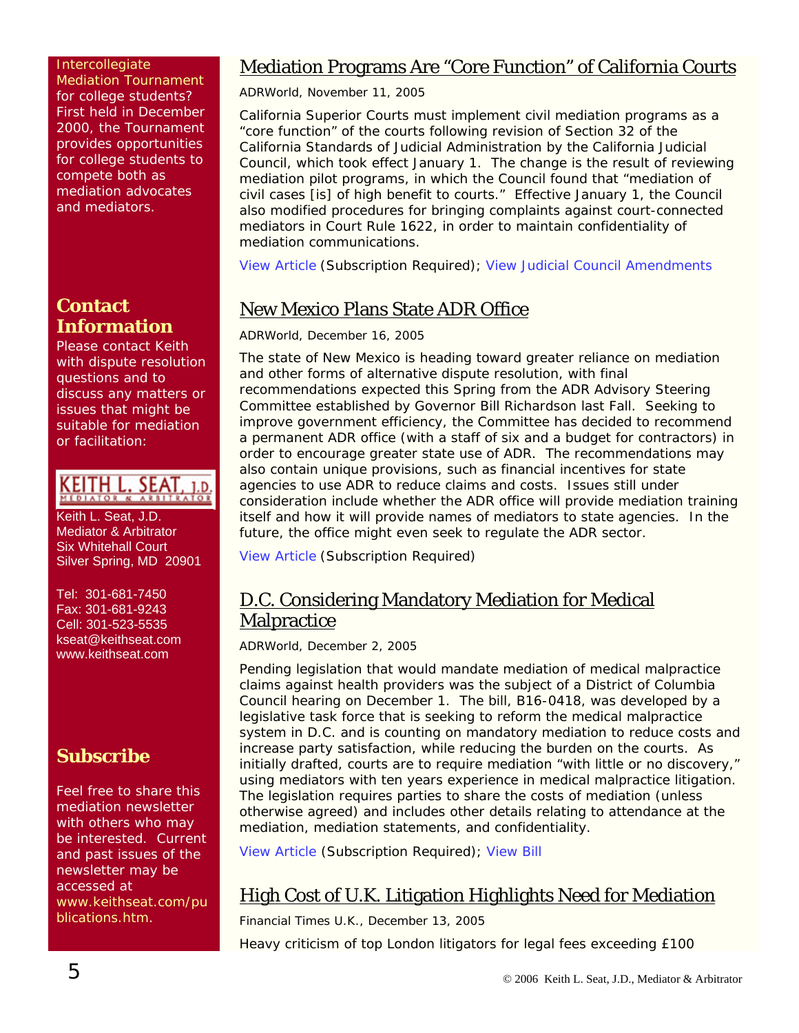#### *[Intercollegiate](http://www.collegemocktrial.org/mediation_default.htm)  [Mediation Tournament](http://www.collegemocktrial.org/mediation_default.htm)* for college students? First held in December 2000, the Tournament provides opportunities for college students to compete both as mediation advocates and mediators.

### **Contact Information**

Please contact Keith with dispute resolution questions and to discuss any matters or issues that might be suitable for mediation or facilitation:

# KEITH L. SEAT, 1.D.

Keith L. Seat, J.D. Mediator & Arbitrator Six Whitehall Court Silver Spring, MD 20901

Tel: 301-681-7450 Fax: 301-681-9243 Cell: 301-523-5535 [kseat@keithseat.com](mailto:kseat@keithseat.com) [www.keithseat.com](http://www.keithseat.com/)

## **Subscribe**

Feel free to share this mediation newsletter with others who may be interested. Current and past issues of the newsletter may be accessed at [www.keithseat.com/pu](http://www.keithseat.com/publications.htm) [blications.htm](http://www.keithseat.com/publications.htm).

### Mediation Programs Are "Core Function" of California Courts

*ADRWorld*, November 11, 2005

California Superior Courts must implement civil mediation programs as a "core function" of the courts following revision of Section 32 of the California Standards of Judicial Administration by the California Judicial Council, which took effect January 1. The change is the result of reviewing mediation pilot programs, in which the Council found that "mediation of civil cases [is] of high benefit to courts." Effective January 1, the Council also modified procedures for bringing complaints against court-connected mediators in Court Rule 1622, in order to maintain confidentiality of mediation communications.

[View Article](http://www.adrworld.com/sp.asp?id=39116) (Subscription Required); [View Judicial Council Amendments](http://www.courtinfo.ca.gov/rules/amendments/jan2006.pdf)

## New Mexico Plans State ADR Office

#### *ADRWorld*, December 16, 2005

The state of New Mexico is heading toward greater reliance on mediation and other forms of alternative dispute resolution, with final recommendations expected this Spring from the ADR Advisory Steering Committee established by Governor Bill Richardson last Fall. Seeking to improve government efficiency, the Committee has decided to recommend a permanent ADR office (with a staff of six and a budget for contractors) in order to encourage greater state use of ADR. The recommendations may also contain unique provisions, such as financial incentives for state agencies to use ADR to reduce claims and costs. Issues still under consideration include whether the ADR office will provide mediation training itself and how it will provide names of mediators to state agencies. In the future, the office might even seek to regulate the ADR sector.

[View Article](http://www.adrworld.com/sp.asp?id=39280) (Subscription Required)

### D.C. Considering Mandatory Mediation for Medical **Malpractice**

*ADRWorld,* December 2, 2005

Pending legislation that would mandate mediation of medical malpractice claims against health providers was the subject of a District of Columbia Council hearing on December 1. The bill, B16-0418, was developed by a legislative task force that is seeking to reform the medical malpractice system in D.C. and is counting on mandatory mediation to reduce costs and increase party satisfaction, while reducing the burden on the courts. As initially drafted, courts are to require mediation "with little or no discovery," using mediators with ten years experience in medical malpractice litigation. The legislation requires parties to share the costs of mediation (unless otherwise agreed) and includes other details relating to attendance at the mediation, mediation statements, and confidentiality.

[View Article](http://www.adrworld.com/sp.asp?id=39196) (Subscription Required); [View Bill](http://www.msdc.org/about/documents/BillB16-418.pdf)

## High Cost of U.K. Litigation Highlights Need for Mediation

*Financial Times U.K.*, December 13, 2005

Heavy criticism of top London litigators for legal fees exceeding £100